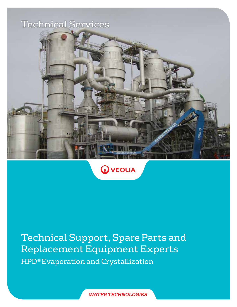



Technical Support, Spare Parts and Replacement Equipment Experts HPD® Evaporation and Crystallization

*WATER TECHNOLOGIES*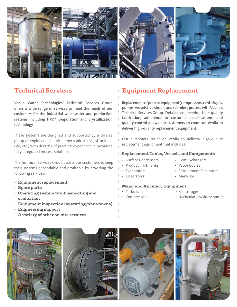

**Veolia Water Technologies' Technical Services Group offers a wide range of services to meet the needs of our customers for the industrial wastewater and production systems including HPD® Evaporation and Crystallization technology.**

These systems are designed and supported by a diverse group of engineers (chemical, mechanical, civil, structural, E&I, etc.) with decades of practical experience in providing fully integrated process solutions.

The Technical Services Group assists our customers to keep their systems dependable and profitable by providing the following services:

- **Equipment replacement**
- **Spare parts**
- **Operating system troubleshooting and evaluation**
- **Equipment inspection (operating/shutdowns)**
- **Engineering support**
- **A variety of other on-site services**

## **Technical Services Equipment Replacement**

**Replacement of process equipment (compressors, centrifuges, pumps, vessels) is a simple and seamless process with Veolia's Technical Services Group. Detailed engineering, high-quality fabrication, adherence to customer specifications, and quality control allows our customers to count on Veolia to deliver high-quality replacement equipment.**

Our customers count on Veolia to delivery high-quality replacement equipment that includes:

### **Replacement Tanks, Vessels and Components**

- Surface Condensers • Heat Exchangers
- Product Flash Tanks • Vapor Bodies
	- Entrainment Separators
	- - Manways

### **Major and Ancillary Equipment**

• Turbo fans

• Evaporators • Deaerators

- Centrifuges
- 
- 
- Compressors
- Recirculation/slurry pumps

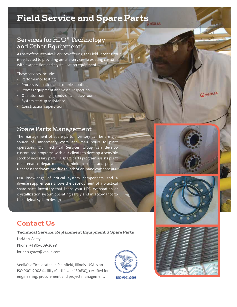# **Field Service and Spare Parts**

## Services for HPD® Technology and Other Equipment

As part of the Technical Services offering, the Field Service Group is dedicated to providing on-site services to existing customers with evaporation and crystallization equipment.

These services include:

- Performance testing
- Process evaluation and troubleshooting
- Process equipment and vessel inspection
- Operator training (hands-on and classroom)
- System startup assistance
- Construction supervision



The management of spare parts inventory can be a major source of unnecessary costs and man hours to plant operations. Our Technical Services Group can develop customized programs with our clients to develop a sensible stock of necessary parts. A spare parts program assists plant maintenance departments to minimize costs and prevent unnecessary downtime due to lack of on-hand components.

Our knowledge of critical system components and a diverse supplier base allows the development of a practical spare parts inventory that keeps your HPD evaporation or crystallization system operating safely and in accordance to the original system design.



OVEOLIA



## **Contact Us**

**Technical Service, Replacement Equipment & Spare Parts**

LoriAnn Gorey Phone: +1 815-609-2098 loriann.gorey@veolia.com

Veolia's office located in Plainfield, Illinois, USA is an ISO 9001:2008 facility (Certificate #30630), certified for engineering, procurement and project management.